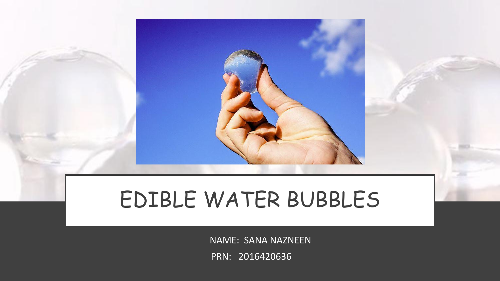## EDIBLE WATER BUBBLES

NAME: SANA NAZNEEN

PRN: 2016420636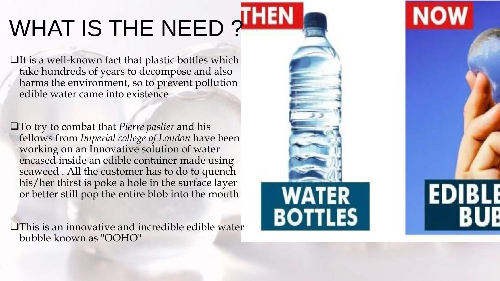# WHAT IS THE NEED?

 $\Box$ It is a well-known fact that plastic bottles which take hundreds of years to decompose and also harms the environment, so to prevent pollution edible water came into existence

To try to combat that *Pierre paslier* and his fellows from *Imperial college of London* have been working on an Innovative solution of water encased inside an edible container made using seaweed . All the customer has to do to quench his/her thirst is poke a hole in the surface layer or better still pop the entire blob into the mouth

**OThis is an innovative and incredible edible water** bubble known as "OOHO"



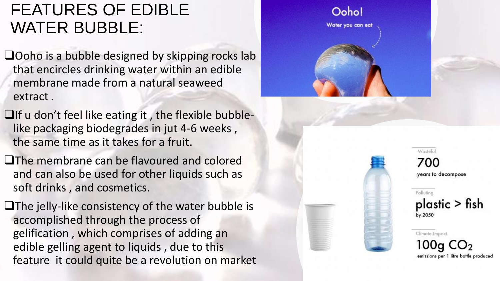### FEATURES OF EDIBLE WATER BUBBLE:

 $\Box$ Ooho is a bubble designed by skipping rocks lab that encircles drinking water within an edible membrane made from a natural seaweed extract .

- $\Box$  If u don't feel like eating it, the flexible bubblelike packaging biodegrades in jut 4-6 weeks , the same time as it takes for a fruit.
- **The membrane can be flavoured and colored** and can also be used for other liquids such as soft drinks , and cosmetics.

 $\Box$  The jelly-like consistency of the water bubble is accomplished through the process of gelification , which comprises of adding an edible gelling agent to liquids , due to this feature it could quite be a revolution on market



700 years to decompose

Wasteful

Polluting  $plastic > fish$ by 2050

Climate Impact 100a

emissions per 1 litre bottle produced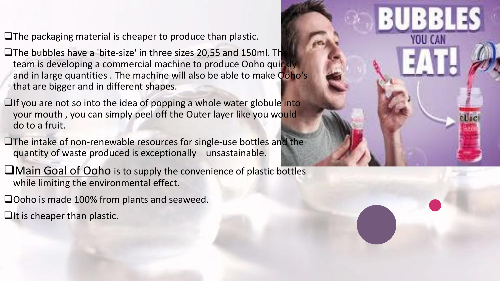$\Box$  The packaging material is cheaper to produce than plastic.

 $\Box$  The bubbles have a 'bite-size' in three sizes 20,55 and 150ml. The team is developing a commercial machine to produce Ooho quickly and in large quantities . The machine will also be able to make Ooho's that are bigger and in different shapes.

 $\Box$ If you are not so into the idea of popping a whole water globule into your mouth , you can simply peel off the Outer layer like you would do to a fruit.

**The intake of non-renewable resources for single-use bottles and the** quantity of waste produced is exceptionally unsastainable.

**Thain Goal of Ooho** is to supply the convenience of plastic bottles while limiting the environmental effect.

□Ooho is made 100% from plants and seaweed.

 $\Box$ It is cheaper than plastic.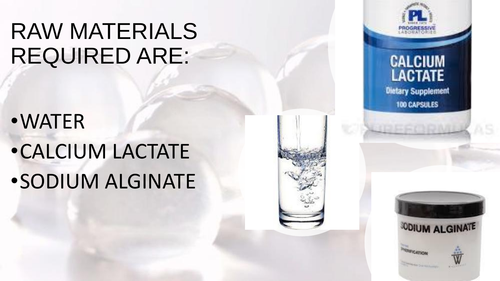## RAW MATERIALS REQUIRED ARE:

- •WATER
- •CALCIUM LACTATE
- •SODIUM ALGINATE





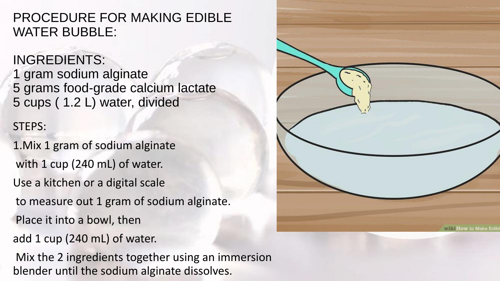PROCEDURE FOR MAKING EDIBLE WATER BUBBLE:

#### INGREDIENTS:

1 gram sodium alginate 5 grams food-grade calcium lactate 5 cups ( 1.2 L) water, divided

#### STEPS:

1.Mix 1 gram of sodium alginate with 1 cup (240 mL) of water. Use a kitchen or a digital scale to measure out 1 gram of sodium alginate. Place it into a bowl, then add 1 cup (240 mL) of water.

Mix the 2 ingredients together using an immersion blender until the sodium alginate dissolves.

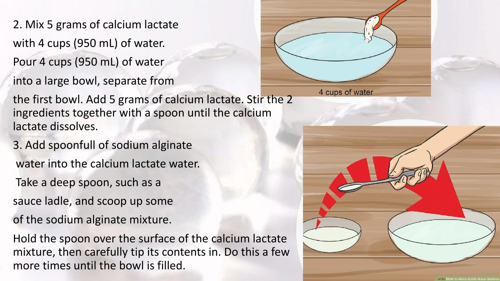- 2. Mix 5 grams of calcium lactate with 4 cups (950 mL) of water.
- Pour 4 cups (950 mL) of water
- into a large bowl, separate from



- 3. Add spoonfull of sodium alginate water into the calcium lactate water.
- Take a deep spoon, such as a
- sauce ladle, and scoop up some
- of the sodium alginate mixture.
- Hold the spoon over the surface of the calcium lactate mixture, then carefully tip its contents in. Do this a few more times until the bowl is filled.





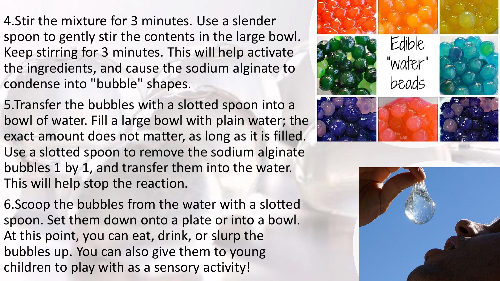4.Stir the mixture for 3 minutes. Use a slender spoon to gently stir the contents in the large bowl. Keep stirring for 3 minutes. This will help activate the ingredients, and cause the sodium alginate to condense into "bubble" shapes.

5.Transfer the bubbles with a slotted spoon into a bowl of water. Fill a large bowl with plain water; the exact amount does not matter, as long as it is filled. Use a slotted spoon to remove the sodium alginate bubbles 1 by 1, and transfer them into the water. This will help stop the reaction.

6.Scoop the bubbles from the water with a slotted spoon. Set them down onto a plate or into a bowl. At this point, you can eat, drink, or slurp the bubbles up. You can also give them to young children to play with as a sensory activity!



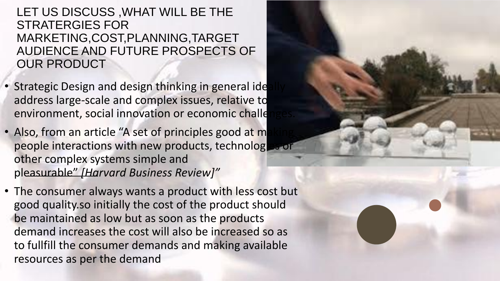#### LET US DISCUSS ,WHAT WILL BE THE STRATERGIES FOR MARKETING,COST,PLANNING,TARGET AUDIENCE AND FUTURE PROSPECTS OF OUR PRODUCT

- Strategic Design and design thinking in general ide address large-scale and complex issues, relative to environment, social innovation or economic challe
- Also, from an article "A set of principles good at m people interactions with new products, technologies or other complex systems simple and pleasurable" *[Harvard Business Review]"*
- The consumer always wants a product with less cost but good quality.so initially the cost of the product should be maintained as low but as soon as the products demand increases the cost will also be increased so as to fullfill the consumer demands and making available resources as per the demand

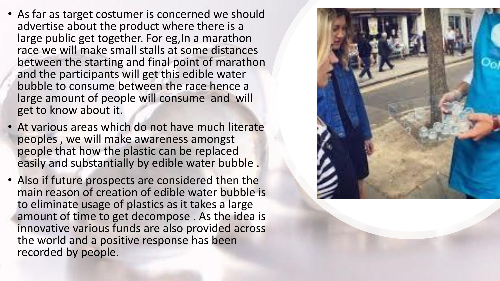- As far as target costumer is concerned we should advertise about the product where there is a large public get together. For eg, In a marathon race we will make small stalls at some distances between the starting and final point of marathon and the participants will get this edible water bubble to consume between the race hence a large amount of people will consume and will get to know about it.
- At various areas which do not have much literate peoples , we will make awareness amongst people that how the plastic can be replaced easily and substantially by edible water bubble .
- Also if future prospects are considered then the main reason of creation of edible water bubble is to eliminate usage of plastics as it takes a large amount of time to get decompose . As the idea is innovative various funds are also provided across the world and a positive response has been recorded by people.

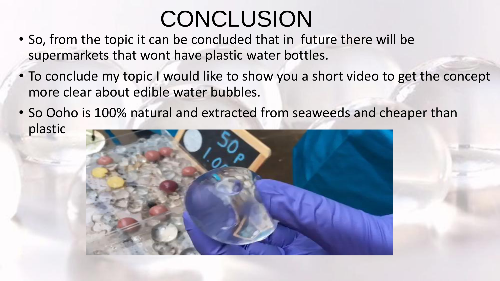## **CONCLUSION**

- So, from the topic it can be concluded that in future there will be supermarkets that wont have plastic water bottles.
- To conclude my topic I would like to show you a short video to get the concept more clear about edible water bubbles.
- So Ooho is 100% natural and extracted from seaweeds and cheaper than plastic